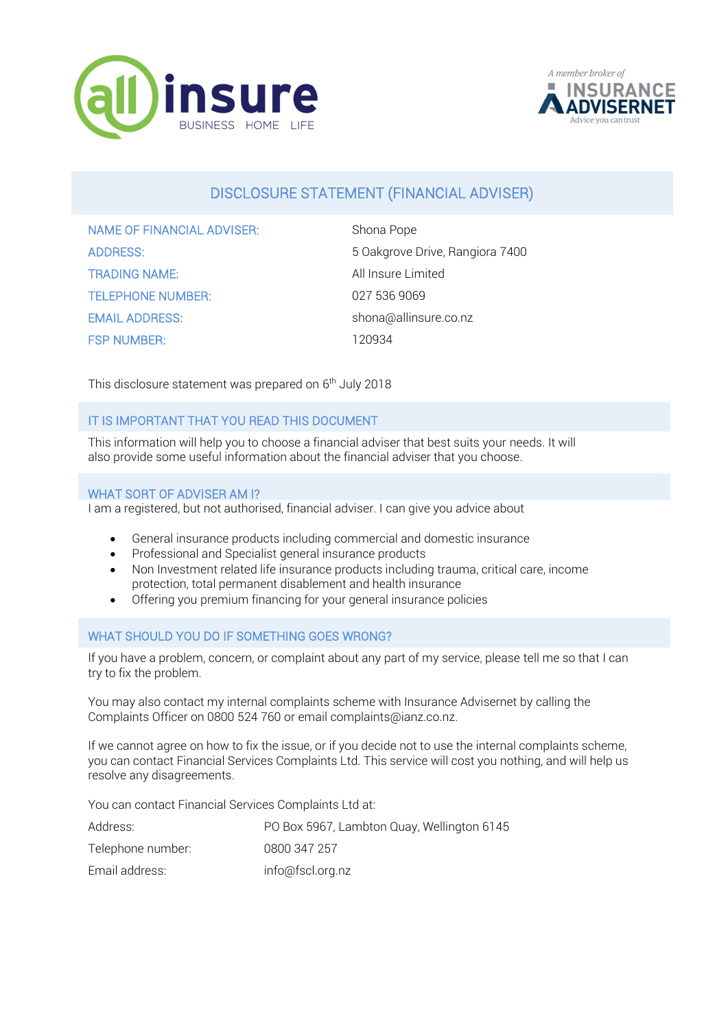



# DISCLOSURE STATEMENT (FINANCIAL ADVISER)

| <b>NAME OF FINANCIAL ADVISER:</b> | Shona Pope                      |
|-----------------------------------|---------------------------------|
| <b>ADDRESS:</b>                   | 5 Oakgrove Drive, Rangiora 7400 |
| <b>TRADING NAME:</b>              | All Insure Limited              |
| <b>TELEPHONE NUMBER:</b>          | 027 536 9069                    |
| <b>EMAIL ADDRESS:</b>             | shona@allinsure.co.nz           |
| <b>FSP NUMBER:</b>                | 120934                          |

This disclosure statement was prepared on 6<sup>th</sup> July 2018

## IT IS IMPORTANT THAT YOU READ THIS DOCUMENT

This information will help you to choose a financial adviser that best suits your needs. It will also provide some useful information about the financial adviser that you choose.

#### WHAT SORT OF ADVISER AM I?

I am a registered, but not authorised, financial adviser. I can give you advice about

- General insurance products including commercial and domestic insurance
- Professional and Specialist general insurance products
- Non Investment related life insurance products including trauma, critical care, income protection, total permanent disablement and health insurance
- Offering you premium financing for your general insurance policies

## WHAT SHOULD YOU DO IF SOMETHING GOES WRONG?

If you have a problem, concern, or complaint about any part of my service, please tell me so that I can try to fix the problem.

You may also contact my internal complaints scheme with Insurance Advisernet by calling the Complaints Officer on 0800 524 760 or email complaints@ianz.co.nz.

If we cannot agree on how to fix the issue, or if you decide not to use the internal complaints scheme, you can contact Financial Services Complaints Ltd. This service will cost you nothing, and will help us resolve any disagreements.

You can contact Financial Services Complaints Ltd at:

| Address:          | PO Box 5967, Lambton Quay, Wellington 6145 |
|-------------------|--------------------------------------------|
| Telephone number: | 0800 347 257                               |
| Email address:    | info@fscl.org.nz                           |